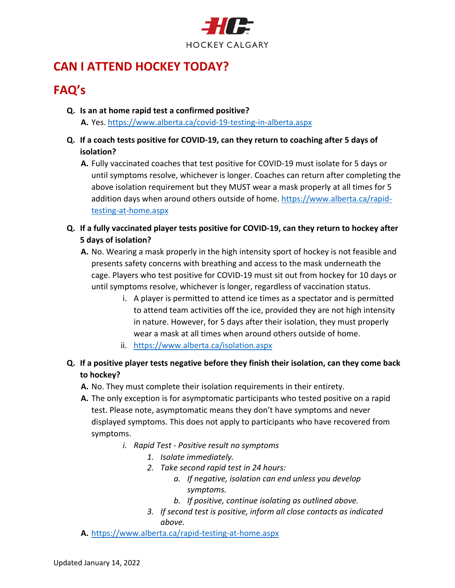

# **CAN I ATTEND HOCKEY TODAY?**

# **FAQ's**

- **Q. Is an at home rapid test a confirmed positive? A.** Yes. <https://www.alberta.ca/covid-19-testing-in-alberta.aspx>
- **Q. If a coach tests positive for COVID-19, can they return to coaching after 5 days of isolation?**
	- **A.** Fully vaccinated coaches that test positive for COVID-19 must isolate for 5 days or until symptoms resolve, whichever is longer. Coaches can return after completing the above isolation requirement but they MUST wear a mask properly at all times for 5 addition days when around others outside of home. [https://www.alberta.ca/rapid](https://www.alberta.ca/rapid-testing-at-home.aspx)[testing-at-home.aspx](https://www.alberta.ca/rapid-testing-at-home.aspx)
- **Q. If a fully vaccinated player tests positive for COVID-19, can they return to hockey after 5 days of isolation?**
	- **A.** No. Wearing a mask properly in the high intensity sport of hockey is not feasible and presents safety concerns with breathing and access to the mask underneath the cage. Players who test positive for COVID-19 must sit out from hockey for 10 days or until symptoms resolve, whichever is longer, regardless of vaccination status.
		- i. A player is permitted to attend ice times as a spectator and is permitted to attend team activities off the ice, provided they are not high intensity in nature. However, for 5 days after their isolation, they must properly wear a mask at all times when around others outside of home.
		- ii. <https://www.alberta.ca/isolation.aspx>
- **Q. If a positive player tests negative before they finish their isolation, can they come back to hockey?**
	- **A.** No. They must complete their isolation requirements in their entirety.
	- **A.** The only exception is for asymptomatic participants who tested positive on a rapid test. Please note, asymptomatic means they don't have symptoms and never displayed symptoms. This does not apply to participants who have recovered from symptoms.
		- *i. Rapid Test - Positive result no symptoms*
			- *1. Isolate immediately.*
			- *2. Take second rapid test in 24 hours:*
				- *a. If negative, isolation can end unless you develop symptoms.*
				- *b. If positive, continue isolating as outlined above.*
			- *3. If second test is positive, inform all close contacts as indicated above.*
	- **A.** <https://www.alberta.ca/rapid-testing-at-home.aspx>